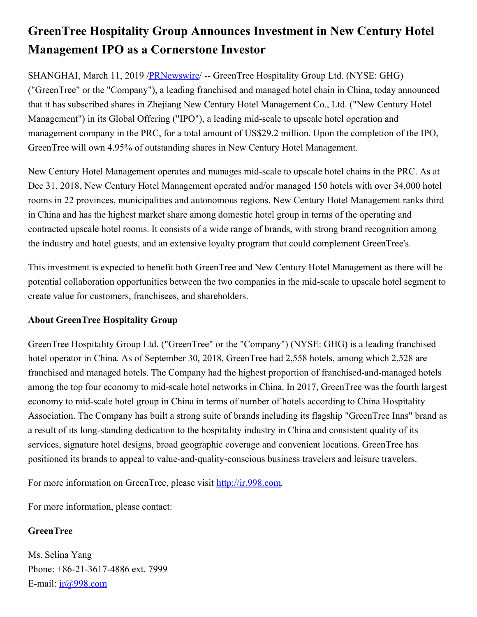## **GreenTree Hospitality Group Announces Investment in New Century Hotel Management IPO as a Cornerstone Investor**

SHANGHAI, March 11, 2019 /**PRNewswire** -- GreenTree Hospitality Group Ltd. (NYSE: GHG) ("GreenTree" or the "Company"), a leading franchised and managed hotel chain in China, today announced that it has subscribed shares in Zhejiang New Century Hotel Management Co., Ltd. ("New Century Hotel Management") in its Global Offering ("IPO"), a leading mid-scale to upscale hotel operation and management company in the PRC, for a total amount of US\$29.2 million. Upon the completion of the IPO, GreenTree will own 4.95% of outstanding shares in New Century Hotel Management.

New Century Hotel Management operates and manages mid-scale to upscale hotel chains in the PRC. As at Dec 31, 2018, New Century Hotel Management operated and/or managed 150 hotels with over 34,000 hotel rooms in 22 provinces, municipalities and autonomous regions. New Century Hotel Management ranks third in China and has the highest market share among domestic hotel group in terms of the operating and contracted upscale hotel rooms. It consists of a wide range of brands, with strong brand recognition among the industry and hotel guests, and an extensive loyalty program that could complement GreenTree's.

This investment is expected to benefit both GreenTree and New Century Hotel Management as there will be potential collaboration opportunities between the two companies in the mid-scale to upscale hotel segment to create value for customers, franchisees, and shareholders.

## **About GreenTree Hospitality Group**

GreenTree Hospitality Group Ltd. ("GreenTree" or the "Company") (NYSE: GHG) is a leading franchised hotel operator in China. As of September 30, 2018, GreenTree had 2,558 hotels, among which 2,528 are franchised and managed hotels. The Company had the highest proportion of franchised-and-managed hotels among the top four economy to mid-scale hotel networks in China. In 2017, GreenTree was the fourth largest economy to mid-scale hotel group in China in terms of number of hotels according to China Hospitality Association. The Company has built a strong suite of brands including its flagship "GreenTree Inns" brand as a result of its long-standing dedication to the hospitality industry in China and consistent quality of its services, signature hotel designs, broad geographic coverage and convenient locations. GreenTree has positioned its brands to appeal to value-and-quality-conscious business travelers and leisure travelers.

For more information on GreenTree, please visit [http://ir.998.com](http://ir.998.com/).

For more information, please contact:

## **GreenTree**

Ms. Selina Yang Phone: +86-21-3617-4886 ext. 7999 E-mail: [ir@998.com](mailto:ir@998.com)